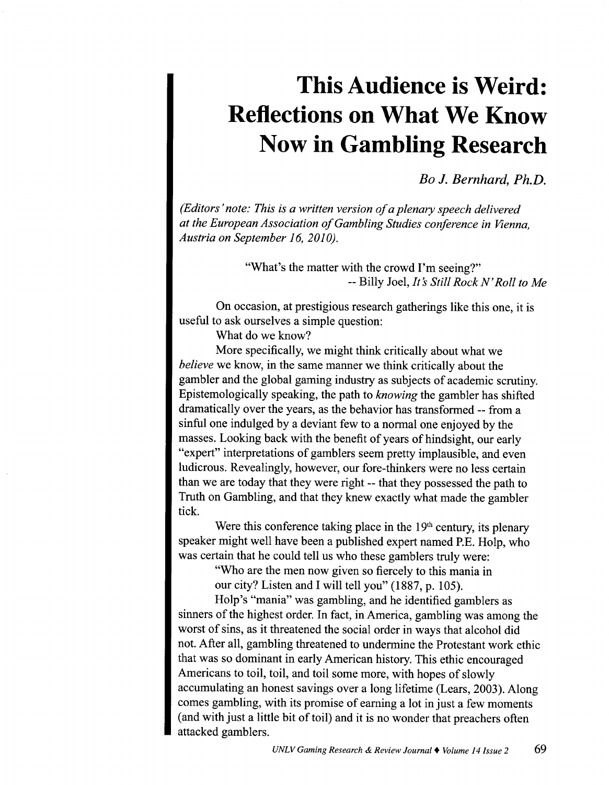## **This Audience is Weird: Reflections on What We Know Now in Gambling Research**

*Bo* J. *Bernhard, Ph.D.* 

*(Editors' note: This is a written version of a plenary speech delivered at the European Association of Gambling Studies conference in Vienna, Austria on September 16, 2010).* 

> "What's the matter with the crowd I'm seeing?" --Billy Joel, *Its Still Rock N' Roll to Me*

On occasion, at prestigious research gatherings like this one, it is useful to ask ourselves a simple question:

What do we know?

More specifically, we might think critically about what we *believe* we know, in the same manner we think critically about the gambler and the global gaming industry as subjects of academic scrutiny. Epistemologically speaking, the path to *knowing* the gambler has shifted dramatically over the years, as the behavior has transformed -- from a sinful one indulged by a deviant few to a normal one enjoyed by the masses. Looking back with the benefit of years of hindsight, our early "expert" interpretations of gamblers seem pretty implausible, and even ludicrous. Revealingly, however, our fore-thinkers were no less certain than we are today that they were right -- that they possessed the path to Truth on Gambling, and that they knew exactly what made the gambler tick.

Were this conference taking place in the  $19<sup>th</sup>$  century, its plenary speaker might well have been a published expert named P.E. Holp, who was certain that he could tell us who these gamblers truly were:

> "Who are the men now given so fiercely to this mania in our city? Listen and I will tell you" (1887, p. 105).

Holp's "mania" was gambling, and he identified gamblers as sinners of the highest order. In fact, in America, gambling was among the worst of sins, as it threatened the social order in ways that alcohol did not. After all, gambling threatened to undermine the Protestant work ethic that was so dominant in early American history. This ethic encouraged Americans to toil, toil, and toil some more, with hopes of slowly accumulating an honest savings over a long lifetime (Lears, 2003). Along comes gambling, with its promise of earning a lot in just a few moments (and with just a little bit of toil) and it is no wonder that preachers often attacked gamblers.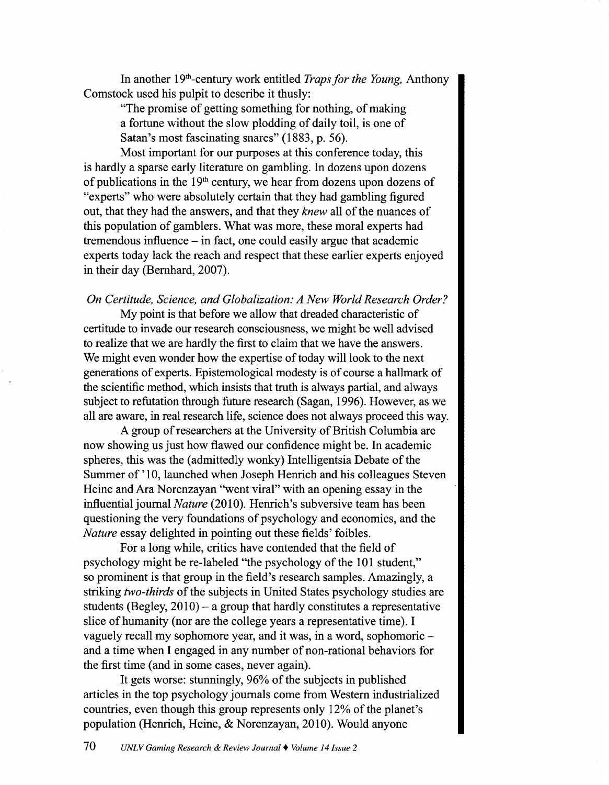In another 19th-century work entitled *Traps for the Young,* Anthony Comstock used his pulpit to describe it thusly:

"The promise of getting something for nothing, of making a fortune without the slow plodding of daily toil, is one of Satan's most fascinating snares" (1883, p. 56).

Most important for our purposes at this conference today, this is hardly a sparse early literature on gambling. In dozens upon dozens of publications in the  $19<sup>th</sup>$  century, we hear from dozens upon dozens of "experts" who were absolutely certain that they had gambling figured out, that they had the answers, and that they *knew* all of the nuances of this population of gamblers. What was more, these moral experts had  $t$ remendous influence – in fact, one could easily argue that academic experts today lack the reach and respect that these earlier experts enjoyed in their day (Bernhard, 2007).

*On Certitude, Science, and Globalization: A New World Research Order?* 

My point is that before we allow that dreaded characteristic of certitude to invade our research consciousness, we might be well advised to realize that we are hardly the first to claim that we have the answers. We might even wonder how the expertise of today will look to the next generations of experts. Epistemological modesty is of course a hallmark of the scientific method, which insists that truth is always partial, and always subject to refutation through future research (Sagan, 1996). However, as we all are aware, in real research life, science does not always proceed this way.

A group of researchers at the University of British Columbia are now showing us just how flawed our confidence might be. In academic spheres, this was the (admittedly wonky) Intelligentsia Debate of the Summer of' 10, launched when Joseph Henrich and his colleagues Steven Heine and Ara Norenzayan "went viral" with an opening essay in the influential journal *Nature* (2010). Henrich's subversive team has been questioning the very foundations of psychology and economics, and the *Nature* essay delighted in pointing out these fields' foibles.

For a long while, critics have contended that the field of psychology might be re-labeled "the psychology of the 101 student," so prominent is that group in the field's research samples. Amazingly, a striking *two-thirds* of the subjects in United States psychology studies are students (Begley,  $2010$ ) – a group that hardly constitutes a representative slice of humanity (nor are the college years a representative time). I vaguely recall my sophomore year, and it was, in a word, sophomoric and a time when I engaged in any number of non-rational behaviors for the first time (and in some cases, never again).

It gets worse: stunningly, 96% of the subjects in published articles in the top psychology journals come from Western industrialized countries, even though this group represents only 12% of the planet's population (Henrich, Heine, & Norenzayan, 2010). Would anyone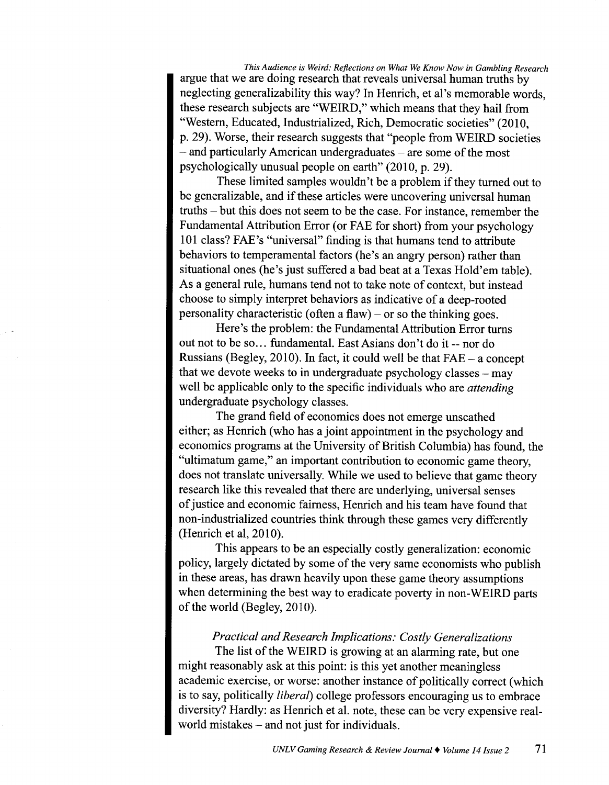*This Audience is Weird: Reflections on What We Know Now in Gambling Research*  argue that we are doing research that reveals universal human truths by neglecting generalizability this way? In Henrich, et al's memorable words, these research subjects are "WEIRD," which means that they hail from "Western, Educated, Industrialized, Rich, Democratic societies" (2010, p. 29). Worse, their research suggests that "people from WEIRD societies – and particularly American undergraduates – are some of the most psychologically unusual people on earth" (2010, p. 29).

These limited samples wouldn't be a problem if they turned out to be generalizable, and if these articles were uncovering universal human truths- but this does not seem to be the case. For instance, remember the Fundamental Attribution Error (or FAE for short) from your psychology 101 class? FAE's "universal" finding is that humans tend to attribute behaviors to temperamental factors (he's an angry person) rather than situational ones (he's just suffered a bad beat at a Texas Hold'em table). As a general rule, humans tend not to take note of context, but instead choose to simply interpret behaviors as indicative of a deep-rooted personality characteristic (often a flaw) – or so the thinking goes.

Here's the problem: the Fundamental Attribution Error turns out not to be so ... fundamental. East Asians don't do it-- nor do Russians (Begley, 2010). In fact, it could well be that FAE- a concept that we devote weeks to in undergraduate psychology classes  $-$  may well be applicable only to the specific individuals who are *attending*  undergraduate psychology classes.

The grand field of economics does not emerge unscathed either; as Henrich (who has a joint appointment in the psychology and economics programs at the University of British Columbia) has found, the "ultimatum game," an important contribution to economic game theory, does not translate universally. While we used to believe that game theory research like this revealed that there are underlying, universal senses of justice and economic fairness, Henrich and his team have found that non-industrialized countries think through these games very differently (Henrich et al,  $2010$ ).

This appears to be an especially costly generalization: economic policy, largely dictated by some of the very same economists who publish in these areas, has drawn heavily upon these game theory assumptions when determining the best way to eradicate poverty in non-WEIRD parts of the world (Begley, 2010).

## *Practical and Research Implications: Costly Generalizations*

The list of the WEIRD is growing at an alarming rate, but one might reasonably ask at this point: is this yet another meaningless academic exercise, or worse: another instance of politically correct (which is to say, politically *Iibera[)* college professors encouraging us to embrace diversity? Hardly: as Henrich et al. note, these can be very expensive realworld mistakes - and not just for individuals.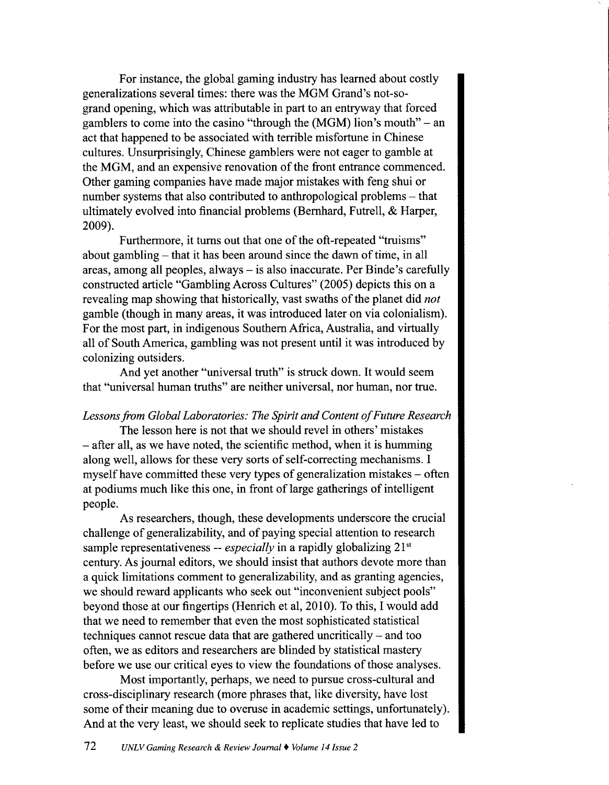For instance, the global gaming industry has learned about costly generalizations several times: there was the MGM Grand's not-sogrand opening, which was attributable in part to an entryway that forced gamblers to come into the casino "through the (MGM) lion's mouth"- an act that happened to be associated with terrible misfortune in Chinese cultures. Unsurprisingly, Chinese gamblers were not eager to gamble at the MGM, and an expensive renovation of the front entrance commenced. Other gaming companies have made major mistakes with feng shui or number systems that also contributed to anthropological problems – that ultimately evolved into financial problems (Bernhard, Futrell, & Harper, 2009).

Furthermore, it turns out that one of the oft-repeated "truisms" about gambling – that it has been around since the dawn of time, in all areas, among all peoples, always- is also inaccurate. Per Binde's carefully constructed article "Gambling Across Cultures" (2005) depicts this on a revealing map showing that historically, vast swaths of the planet did *not*  gamble (though in many areas, it was introduced later on via colonialism). For the most part, in indigenous Southern Africa, Australia, and virtually all of South America, gambling was not present until it was introduced by colonizing outsiders.

And yet another "universal truth" is struck down. It would seem that "universal human truths" are neither universal, nor human, nor true.

## *Lessons from Global Laboratories: The Spirit and Content of Future Research*

The lesson here is not that we should revel in others' mistakes - after all, as we have noted, the scientific method, when it is humming along well, allows for these very sorts of self-correcting mechanisms. I myself have committed these very types of generalization mistakes  $-$  often at podiums much like this one, in front of large gatherings of intelligent people.

As researchers, though, these developments underscore the crucial challenge of generalizability, and of paying special attention to research sample representativeness -- *especially* in a rapidly globalizing 21<sup>st</sup> century. As journal editors, we should insist that authors devote more than a quick limitations comment to generalizability, and as granting agencies, we should reward applicants who seek out "inconvenient subject pools" beyond those at our fingertips (Henrich et al, 2010). To this, I would add that we need to remember that even the most sophisticated statistical techniques cannot rescue data that are gathered uncritically - and too often, we as editors and researchers are blinded by statistical mastery before we use our critical eyes to view the foundations of those analyses.

Most importantly, perhaps, we need to pursue cross-cultural and cross-disciplinary research (more phrases that, like diversity, have lost some of their meaning due to overuse in academic settings, unfortunately). And at the very least, we should seek to replicate studies that have led to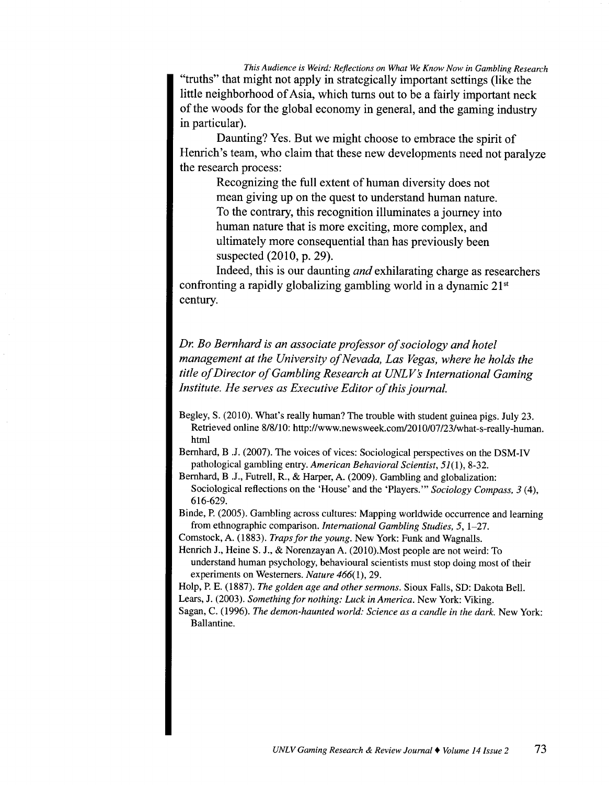*This Audience is Weird: Reflections on What We Know Now in Gambling Research*  "truths" that might not apply in strategically important settings (like the little neighborhood of Asia, which turns out to be a fairly important neck of the woods for the global economy in general, and the gaming industry in particular).

Daunting? Yes. But we might choose to embrace the spirit of Henrich's team, who claim that these new developments need not paralyze the research process:

Recognizing the full extent of human diversity does not mean giving up on the quest to understand human nature. To the contrary, this recognition illuminates a journey into human nature that is more exciting, more complex, and ultimately more consequential than has previously been suspected (2010, p. 29).

Indeed, this is our daunting *and* exhilarating charge as researchers confronting a rapidly globalizing gambling world in a dynamic  $21<sup>st</sup>$ century.

*Dr. Bo Bernhard is an associate professor of sociology and hotel management at the University of Nevada, Las Vegas, where he holds the title of Director of Gambling Research at UNLVs International Gaming Institute. He serves as Executive Editor of this journal.* 

Bernhard, B .J. (2007). The voices of vices: Sociological perspectives on the DSM-IV pathological gambling entry. *American Behavioral Scientist,* 51(1), 8-32.

Bernhard, B .J., Futrell, R., & Harper, A. (2009). Gambling and globalization: Sociological reflections on the 'House' and the 'Players."' *Sociology Compass, 3* (4), 616-629.

Binde, P. (2005). Gambling across cultures: Mapping worldwide occurrence and learning from ethnographic comparison. *International Gambling Studies, 5,* 1-27.

Comstock, A. (1883). *Traps for the young.* New York: Funk and Wagnalls.

Henrich J., Heine S. J., & Norenzayan A. (2010). Most people are not weird: To understand human psychology, behavioural scientists must stop doing most of their experiments on Westerners. *Nature 466(1),* 29.

Holp, P. E. (1887). *The golden age and other sermons.* Sioux Falls, SD: Dakota Bell.

Lears, J. (2003). *Something for nothing: Luck in America.* New York: Viking.

Sagan, C. (1996). *The demon-haunted world: Science as a candle in the dark.* New York: Ballantine.

Begley, S. (2010). What's really human? The trouble with student guinea pigs. July 23. Retrieved online 8/8/10: http://www.newsweek.com/2010/07/23/what-s-really-human. html